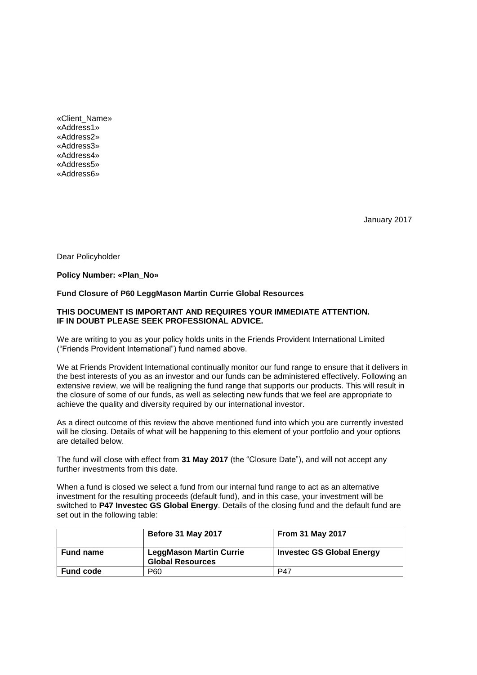«Client\_Name» «Address1» «Address2» «Address3» «Address4» «Address5» «Address6»

January 2017

Dear Policyholder

#### **Policy Number: «Plan\_No»**

# **Fund Closure of P60 LeggMason Martin Currie Global Resources**

### **THIS DOCUMENT IS IMPORTANT AND REQUIRES YOUR IMMEDIATE ATTENTION. IF IN DOUBT PLEASE SEEK PROFESSIONAL ADVICE.**

We are writing to you as your policy holds units in the Friends Provident International Limited ("Friends Provident International") fund named above.

We at Friends Provident International continually monitor our fund range to ensure that it delivers in the best interests of you as an investor and our funds can be administered effectively. Following an extensive review, we will be realigning the fund range that supports our products. This will result in the closure of some of our funds, as well as selecting new funds that we feel are appropriate to achieve the quality and diversity required by our international investor.

As a direct outcome of this review the above mentioned fund into which you are currently invested will be closing. Details of what will be happening to this element of your portfolio and your options are detailed below.

The fund will close with effect from **31 May 2017** (the "Closure Date"), and will not accept any further investments from this date.

When a fund is closed we select a fund from our internal fund range to act as an alternative investment for the resulting proceeds (default fund), and in this case, your investment will be switched to **P47 Investec GS Global Energy**. Details of the closing fund and the default fund are set out in the following table:

|                  | <b>Before 31 May 2017</b>                                 | <b>From 31 May 2017</b>          |
|------------------|-----------------------------------------------------------|----------------------------------|
| <b>Fund name</b> | <b>LeggMason Martin Currie</b><br><b>Global Resources</b> | <b>Investec GS Global Energy</b> |
| <b>Fund code</b> | P60                                                       | P47                              |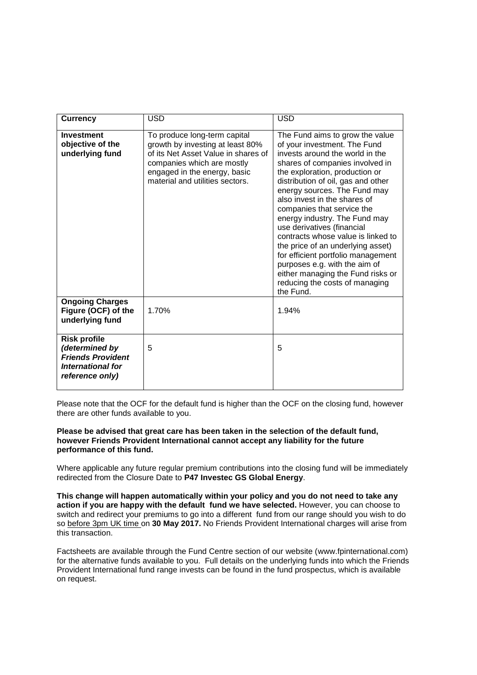| <b>Currency</b>                                                                                           | <b>USD</b>                                                                                                                                                                                               | <b>USD</b>                                                                                                                                                                                                                                                                                                                                                                                                                                                                                                                                                                                                       |
|-----------------------------------------------------------------------------------------------------------|----------------------------------------------------------------------------------------------------------------------------------------------------------------------------------------------------------|------------------------------------------------------------------------------------------------------------------------------------------------------------------------------------------------------------------------------------------------------------------------------------------------------------------------------------------------------------------------------------------------------------------------------------------------------------------------------------------------------------------------------------------------------------------------------------------------------------------|
| <b>Investment</b><br>objective of the<br>underlying fund                                                  | To produce long-term capital<br>growth by investing at least 80%<br>of its Net Asset Value in shares of<br>companies which are mostly<br>engaged in the energy, basic<br>material and utilities sectors. | The Fund aims to grow the value<br>of your investment. The Fund<br>invests around the world in the<br>shares of companies involved in<br>the exploration, production or<br>distribution of oil, gas and other<br>energy sources. The Fund may<br>also invest in the shares of<br>companies that service the<br>energy industry. The Fund may<br>use derivatives (financial<br>contracts whose value is linked to<br>the price of an underlying asset)<br>for efficient portfolio management<br>purposes e.g. with the aim of<br>either managing the Fund risks or<br>reducing the costs of managing<br>the Fund. |
| <b>Ongoing Charges</b><br>Figure (OCF) of the<br>underlying fund                                          | 1.70%                                                                                                                                                                                                    | 1.94%                                                                                                                                                                                                                                                                                                                                                                                                                                                                                                                                                                                                            |
| <b>Risk profile</b><br>(determined by<br><b>Friends Provident</b><br>International for<br>reference only) | 5                                                                                                                                                                                                        | 5                                                                                                                                                                                                                                                                                                                                                                                                                                                                                                                                                                                                                |

Please note that the OCF for the default fund is higher than the OCF on the closing fund, however there are other funds available to you.

### **Please be advised that great care has been taken in the selection of the default fund, however Friends Provident International cannot accept any liability for the future performance of this fund.**

Where applicable any future regular premium contributions into the closing fund will be immediately redirected from the Closure Date to **P47 Investec GS Global Energy**.

**This change will happen automatically within your policy and you do not need to take any action if you are happy with the default fund we have selected.** However, you can choose to switch and redirect your premiums to go into a different fund from our range should you wish to do so before 3pm UK time on **30 May 2017.** No Friends Provident International charges will arise from this transaction.

Factsheets are available through the Fund Centre section of our website (www.fpinternational.com) for the alternative funds available to you. Full details on the underlying funds into which the Friends Provident International fund range invests can be found in the fund prospectus, which is available on request.